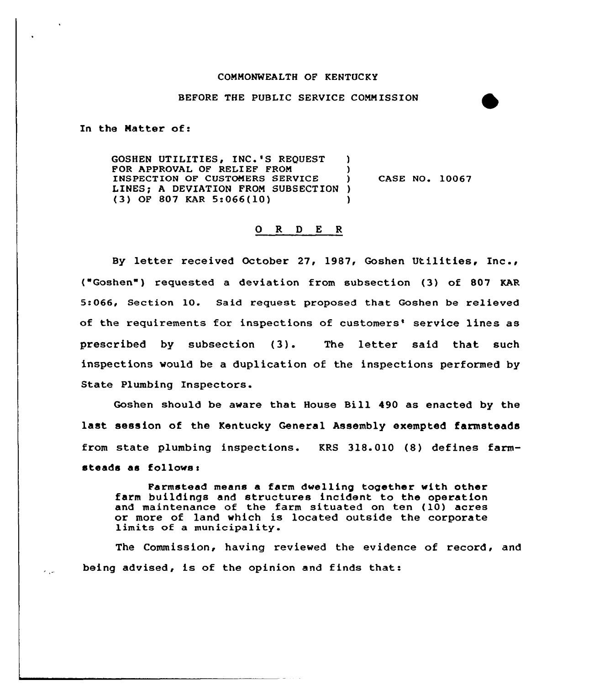## COMMONWEALTH OF KENTUCKY

## BEFORE THE PUBLIC SERVICE COMMISSION

In the Natter of:

GOSHEN UTILITIES, INC. 'S REQUEST FOR APPROVAL OF RELIEF FROM<br>INSPECTION OF CUSTOMERS SERVICE LINES; A DEVIATION FROM SUBSECTION ) (3) OF 807 KAR 5:066(10) )  $\lambda$ )

CASE NO. 10067

## 0 R <sup>D</sup> E <sup>R</sup>

By letter received October 27, 1987, Goshen Utilities, Inc., ("Goshen") requested a deviation from subsection (3) of 807 KAR 5:066, Section 10. Said request proposed that Goshen be relieved of the requirements for inspections of customers' service lines as prescribed by subsection (3). The letter said that such inspections would be a duplication of the inspections performed by State Plumbing Inspectors.

Goshen should be aware that House Bill 490 as enacted by the last session of the Kentucky General Assembly exempted farmsteads from state plumbing inspections. KRS 318.010 (8) defines farmsteads as follows:

Farmstead means a farm dwelling together with other farm buildings and structures incident to the operation and maintenance of the farm situated on ten (10) acres and maintenance of the faim situated on ten (10) acte<br>or more of land which is located outside the corporat<br>limits of a municipality.

The Commission, having reviewed the evidence of record, and being advised, is of the opinion and finds that: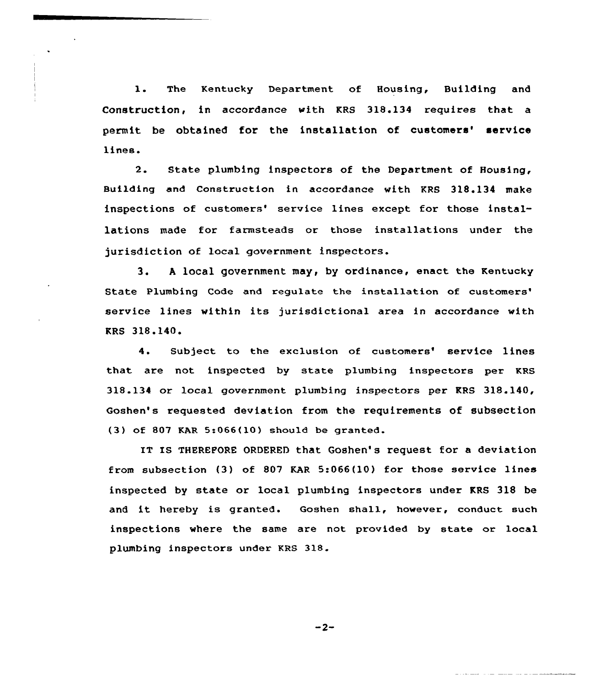l. The Kentucky Department of Housing, Building and Construction, in accordance with KRS 318.134 requires that a permit be obtained for the installation of customers' service lines.

2. State plumbing inspectors of the Department of Housing, Building and Construction in accordance with KRS 318.134 make inspections of customers' service lines except for those installations made for farmsteads or those installations under the jurisdiction of local government inspectors.

3. <sup>A</sup> local government may, by ordinance, enact the Kentucky State Plumbing Code and regulate the installation of service lines within its jurisdictional area in accordance with KRS 318.140.

4. Subject to the exclusion of customers' service lines that are not inspected by state plumbing inspectors per KRS 318.134 or local government plumbing inspectors per KRS 318.140, Goshen's requested deviation from the requirements of subsection  $(3)$  of 807 KAR 5:066(10) should be granted.

IT IS THEREFORE ORDERED that Goshen's request for a deviation from subsection {3) of 807 KAR 5:066{10) for those service lines inspected by state or local plumbing inspectors under KRS 318 be and it hereby is granted. Goshen shall, however, conduct such inspections where the same are not provided by state or local plumbing inspectors under KRS 318.

 $-2-$